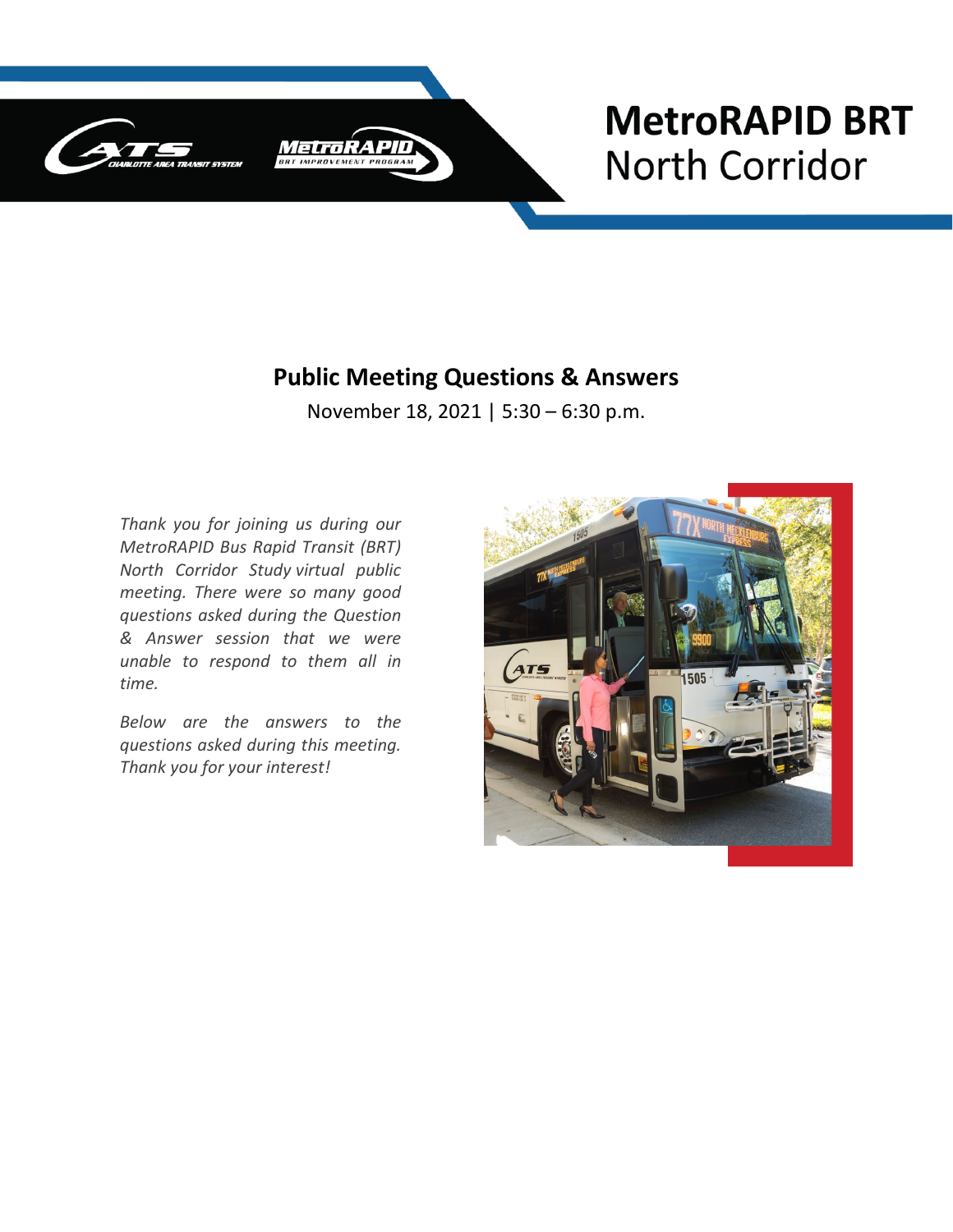

# **MetroRAPID BRT North Corridor**

#### **Public Meeting Questions & Answers**

November 18, 2021 | 5:30 – 6:30 p.m.

*Thank you for joining us during our MetroRAPID Bus Rapid Transit (BRT) North Corridor Study virtual public meeting. There were so many good questions asked during the Question & Answer session that we were unable to respond to them all in time.* 

*Below are the answers to the questions asked during this meeting. Thank you for your interest!* 

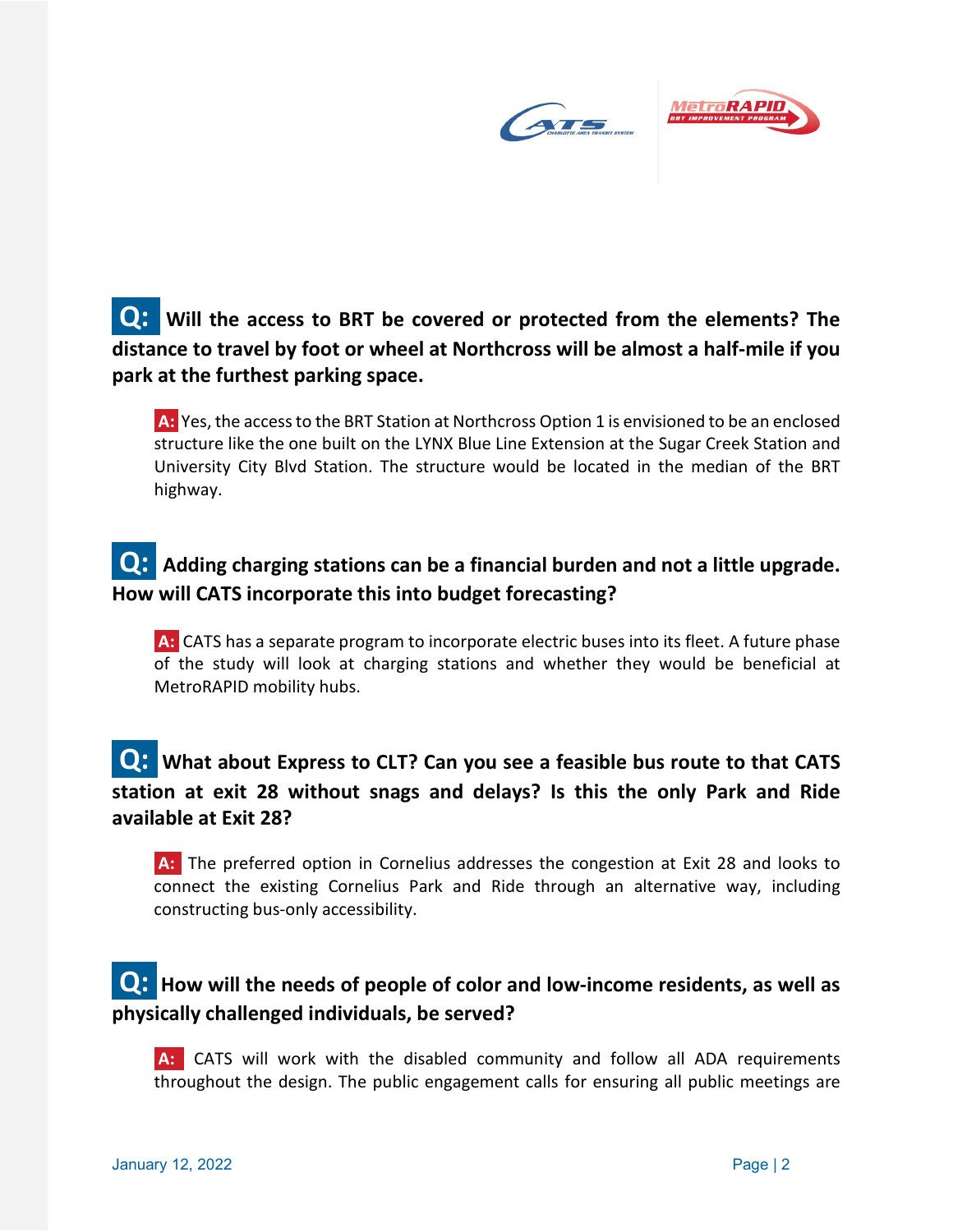

## **Q:** Will the access to BRT be covered or protected from the elements? The **distance to travel by foot or wheel at Northcross will be almost a half-mile if you park at the furthest parking space.**

**A:** Yes, the access to the BRT Station at Northcross Option 1 is envisioned to be an enclosed structure like the one built on the LYNX Blue Line Extension at the Sugar Creek Station and University City Blvd Station. The structure would be located in the median of the BRT highway.

## **Q:** Adding charging stations can be a financial burden and not a little upgrade. **How will CATS incorporate this into budget forecasting?**

**A:** CATS has a separate program to incorporate electric buses into its fleet. A future phase of the study will look at charging stations and whether they would be beneficial at MetroRAPID mobility hubs.

#### **Q:** What about Express to CLT? Can you see a feasible bus route to that CATS **station at exit 28 without snags and delays? Is this the only Park and Ride available at Exit 28?**

**A:** The preferred option in Cornelius addresses the congestion at Exit 28 and looks to connect the existing Cornelius Park and Ride through an alternative way, including constructing bus-only accessibility.

#### **Q: How will the needs of people of color and low-income residents, as well as physically challenged individuals, be served?**

**A:** CATS will work with the disabled community and follow all ADA requirements throughout the design. The public engagement calls for ensuring all public meetings are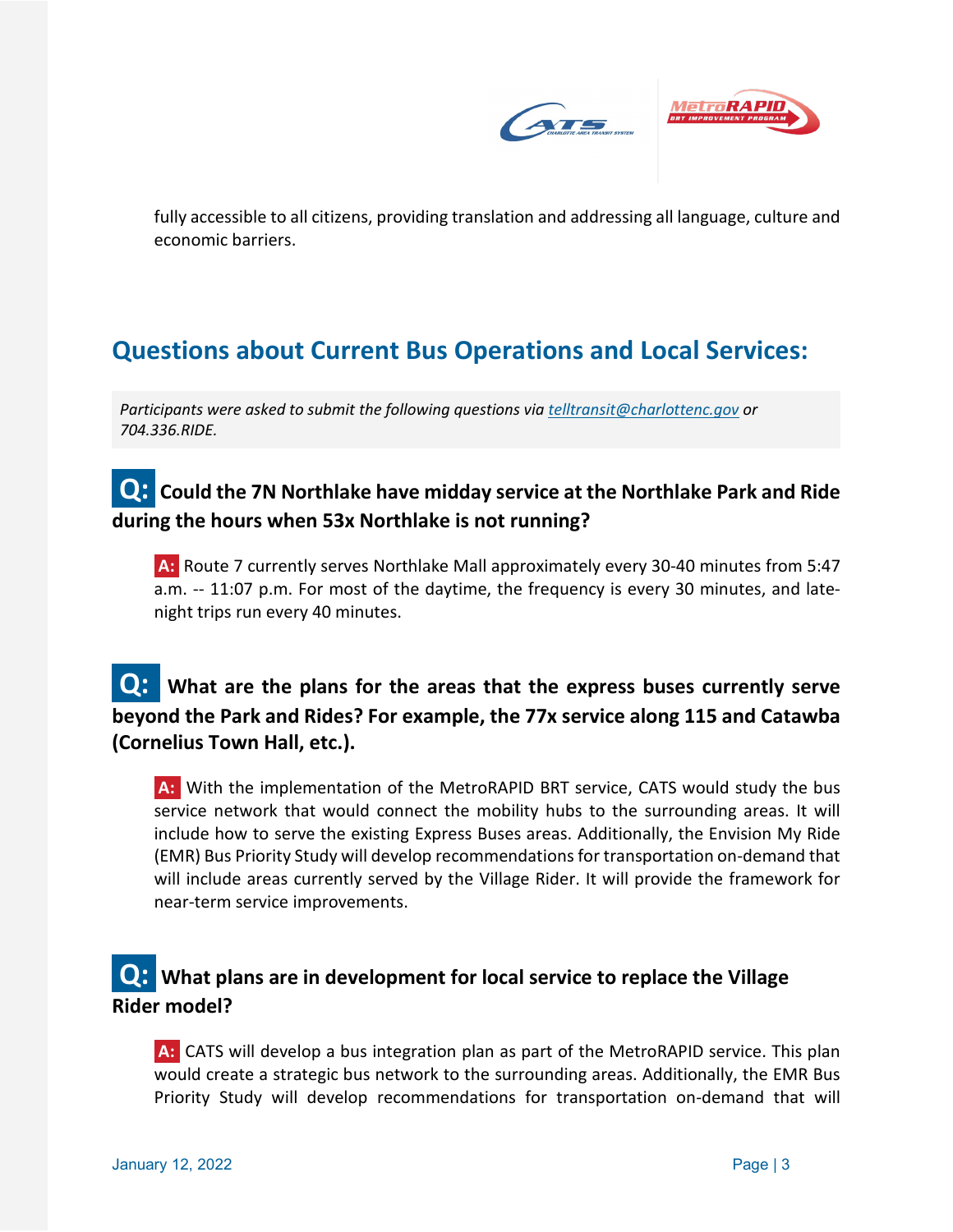

fully accessible to all citizens, providing translation and addressing all language, culture and economic barriers.

# **Questions about Current Bus Operations and Local Services:**

*Participants were asked to submit the following questions via [telltransit@charlottenc.gov](mailto:telltransit@charlottenc.gov) or 704.336.RIDE.* 

## **Q: Could the 7N Northlake have midday service at the Northlake Park and Ride during the hours when 53x Northlake is not running?**

**A:** Route 7 currently serves Northlake Mall approximately every 30-40 minutes from 5:47 a.m. -- 11:07 p.m. For most of the daytime, the frequency is every 30 minutes, and latenight trips run every 40 minutes.

#### **Q:** What are the plans for the areas that the express buses currently serve **beyond the Park and Rides? For example, the 77x service along 115 and Catawba (Cornelius Town Hall, etc.).**

**A:** With the implementation of the MetroRAPID BRT service, CATS would study the bus service network that would connect the mobility hubs to the surrounding areas. It will include how to serve the existing Express Buses areas. Additionally, the Envision My Ride (EMR) Bus Priority Study will develop recommendations for transportation on-demand that will include areas currently served by the Village Rider. It will provide the framework for near-term service improvements.

#### **Q:** What plans are in development for local service to replace the Village **Rider model?**

**A:** CATS will develop a bus integration plan as part of the MetroRAPID service. This plan would create a strategic bus network to the surrounding areas. Additionally, the EMR Bus Priority Study will develop recommendations for transportation on-demand that will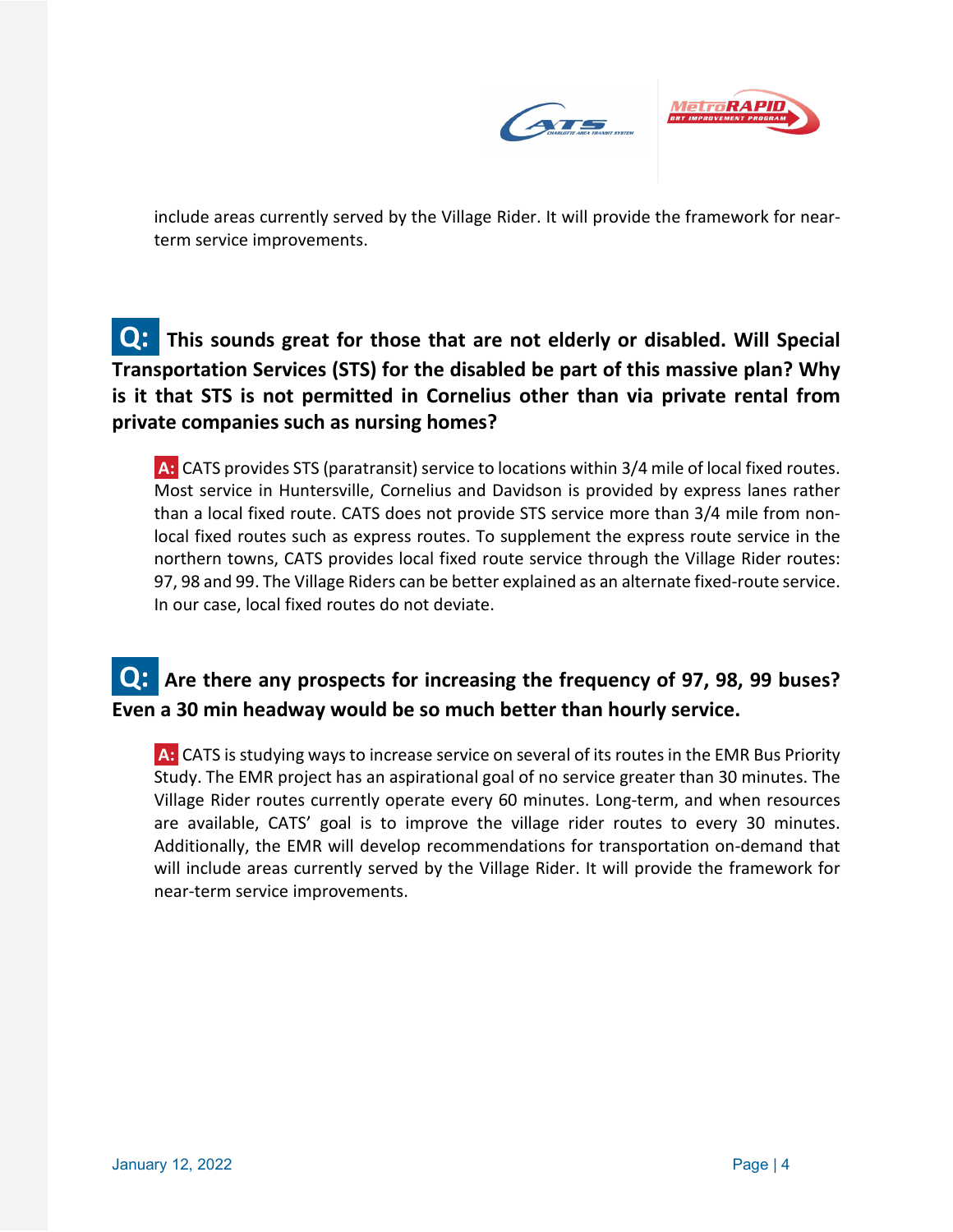

include areas currently served by the Village Rider. It will provide the framework for nearterm service improvements.

## **Q:** This sounds great for those that are not elderly or disabled. Will Special **Transportation Services (STS) for the disabled be part of this massive plan? Why is it that STS is not permitted in Cornelius other than via private rental from private companies such as nursing homes?**

**A:** CATS provides STS (paratransit) service to locations within 3/4 mile of local fixed routes. Most service in Huntersville, Cornelius and Davidson is provided by express lanes rather than a local fixed route. CATS does not provide STS service more than 3/4 mile from nonlocal fixed routes such as express routes. To supplement the express route service in the northern towns, CATS provides local fixed route service through the Village Rider routes: 97, 98 and 99. The Village Riders can be better explained as an alternate fixed-route service. In our case, local fixed routes do not deviate.

## **Q:** Are there any prospects for increasing the frequency of 97, 98, 99 buses? **Even a 30 min headway would be so much better than hourly service.**

**A:** CATS is studying ways to increase service on several of its routes in the EMR Bus Priority Study. The EMR project has an aspirational goal of no service greater than 30 minutes. The Village Rider routes currently operate every 60 minutes. Long-term, and when resources are available, CATS' goal is to improve the village rider routes to every 30 minutes. Additionally, the EMR will develop recommendations for transportation on-demand that will include areas currently served by the Village Rider. It will provide the framework for near-term service improvements.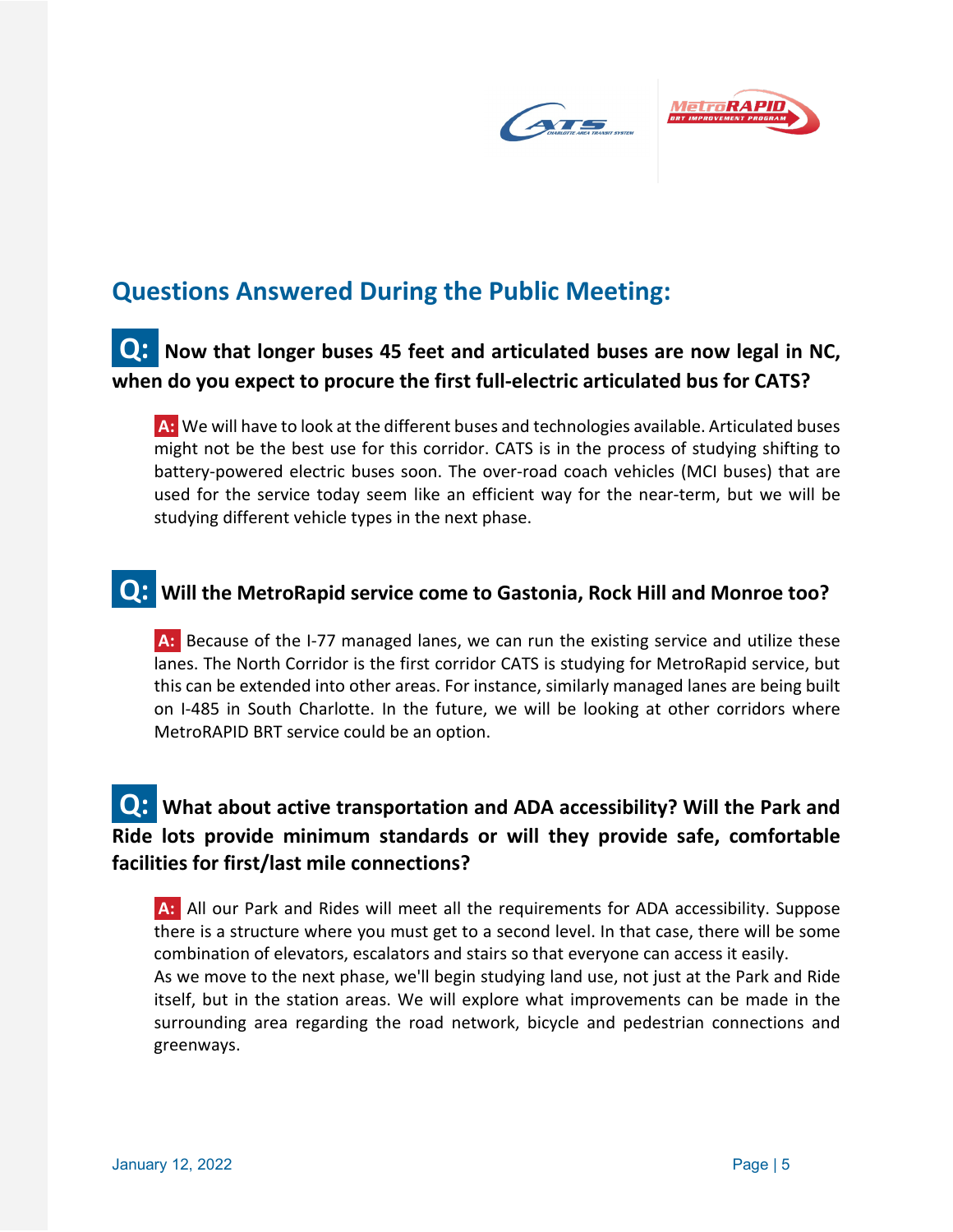

# **Questions Answered During the Public Meeting:**

## **Q:** Now that longer buses 45 feet and articulated buses are now legal in NC, **when do you expect to procure the first full-electric articulated bus for CATS?**

**A:** We will have to look at the different buses and technologies available. Articulated buses might not be the best use for this corridor. CATS is in the process of studying shifting to battery-powered electric buses soon. The over-road coach vehicles (MCI buses) that are used for the service today seem like an efficient way for the near-term, but we will be studying different vehicle types in the next phase.

# **Q: Will the MetroRapid service come to Gastonia, Rock Hill and Monroe too?**

**A:** Because of the I-77 managed lanes, we can run the existing service and utilize these lanes. The North Corridor is the first corridor CATS is studying for MetroRapid service, but this can be extended into other areas. For instance, similarly managed lanes are being built on I-485 in South Charlotte. In the future, we will be looking at other corridors where MetroRAPID BRT service could be an option.

## **Q:** What about active transportation and ADA accessibility? Will the Park and **Ride lots provide minimum standards or will they provide safe, comfortable facilities for first/last mile connections?**

**A:** All our Park and Rides will meet all the requirements for ADA accessibility. Suppose there is a structure where you must get to a second level. In that case, there will be some combination of elevators, escalators and stairs so that everyone can access it easily.

As we move to the next phase, we'll begin studying land use, not just at the Park and Ride itself, but in the station areas. We will explore what improvements can be made in the surrounding area regarding the road network, bicycle and pedestrian connections and greenways.